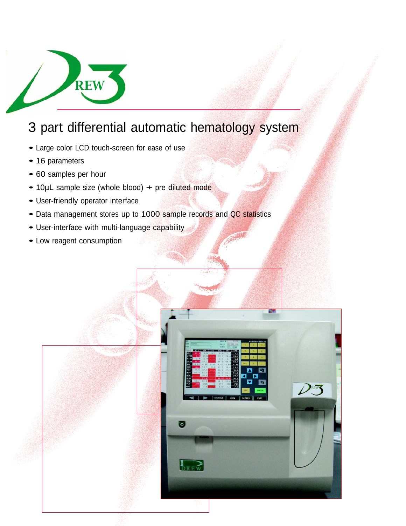

# 3 part differential automatic hematology system

- Large color LCD touch-screen for ease of use
- 16 parameters
- <sup>60</sup> samples per hour
- 10µL sample size (whole blood) + pre diluted mode
- User-friendly operator interface
- Data management stores up to 1000 sample records and QC statistics
- User-interface with multi-language capability
- Low reagent consumption